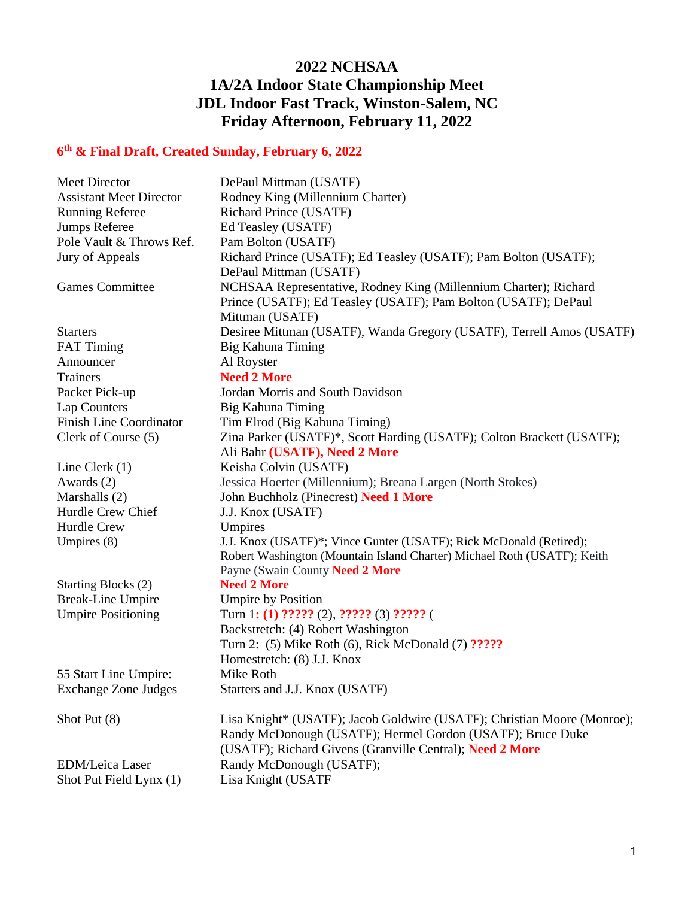## **2022 NCHSAA 1A/2A Indoor State Championship Meet JDL Indoor Fast Track, Winston-Salem, NC Friday Afternoon, February 11, 2022**

## **6 th & Final Draft, Created Sunday, February 6, 2022**

| Meet Director                  | DePaul Mittman (USATF)                                                  |
|--------------------------------|-------------------------------------------------------------------------|
| <b>Assistant Meet Director</b> | Rodney King (Millennium Charter)                                        |
| <b>Running Referee</b>         | <b>Richard Prince (USATF)</b>                                           |
| <b>Jumps Referee</b>           | Ed Teasley (USATF)                                                      |
| Pole Vault & Throws Ref.       | Pam Bolton (USATF)                                                      |
| Jury of Appeals                | Richard Prince (USATF); Ed Teasley (USATF); Pam Bolton (USATF);         |
|                                | DePaul Mittman (USATF)                                                  |
| <b>Games Committee</b>         | NCHSAA Representative, Rodney King (Millennium Charter); Richard        |
|                                | Prince (USATF); Ed Teasley (USATF); Pam Bolton (USATF); DePaul          |
|                                | Mittman (USATF)                                                         |
| <b>Starters</b>                | Desiree Mittman (USATF), Wanda Gregory (USATF), Terrell Amos (USATF)    |
| <b>FAT Timing</b>              | Big Kahuna Timing                                                       |
| Announcer                      | Al Royster                                                              |
| <b>Trainers</b>                | <b>Need 2 More</b>                                                      |
| Packet Pick-up                 | Jordan Morris and South Davidson                                        |
| Lap Counters                   | Big Kahuna Timing                                                       |
| <b>Finish Line Coordinator</b> | Tim Elrod (Big Kahuna Timing)                                           |
| Clerk of Course (5)            | Zina Parker (USATF)*, Scott Harding (USATF); Colton Brackett (USATF);   |
|                                | Ali Bahr (USATF), Need 2 More                                           |
| Line Clerk $(1)$               | Keisha Colvin (USATF)                                                   |
| Awards (2)                     | Jessica Hoerter (Millennium); Breana Largen (North Stokes)              |
| Marshalls (2)                  | John Buchholz (Pinecrest) Need 1 More                                   |
| Hurdle Crew Chief              | J.J. Knox (USATF)                                                       |
| <b>Hurdle Crew</b>             | Umpires                                                                 |
| Umpires $(8)$                  | J.J. Knox (USATF)*; Vince Gunter (USATF); Rick McDonald (Retired);      |
|                                | Robert Washington (Mountain Island Charter) Michael Roth (USATF); Keith |
|                                | Payne (Swain County Need 2 More                                         |
| Starting Blocks (2)            | <b>Need 2 More</b>                                                      |
| <b>Break-Line Umpire</b>       | <b>Umpire by Position</b>                                               |
| <b>Umpire Positioning</b>      | Turn 1: (1) $??\,\,\,??\,\,\,??\,\,\,??\,\,\,??\,\,\,??\,\,\,??\,\,\,?$ |
|                                | Backstretch: (4) Robert Washington                                      |
|                                | Turn 2: (5) Mike Roth (6), Rick McDonald (7) ?????                      |
|                                | Homestretch: (8) J.J. Knox                                              |
| 55 Start Line Umpire:          | Mike Roth                                                               |
| <b>Exchange Zone Judges</b>    | Starters and J.J. Knox (USATF)                                          |
| Shot Put (8)                   | Lisa Knight* (USATF); Jacob Goldwire (USATF); Christian Moore (Monroe); |
|                                | Randy McDonough (USATF); Hermel Gordon (USATF); Bruce Duke              |
|                                | (USATF); Richard Givens (Granville Central); Need 2 More                |
| <b>EDM/Leica Laser</b>         | Randy McDonough (USATF);                                                |
| Shot Put Field Lynx (1)        | Lisa Knight (USATF                                                      |